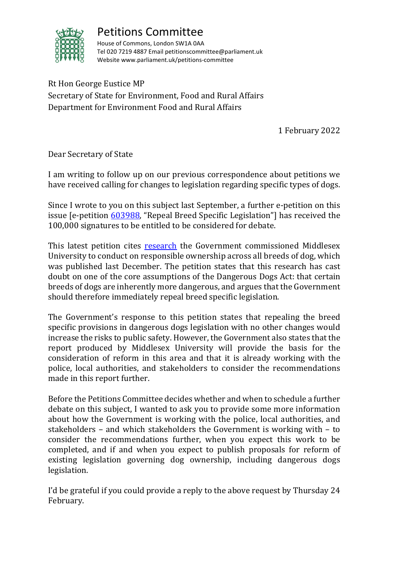

## Petitions Committee

House of Commons, London SW1A 0AA Tel 020 7219 4887 Email petitionscommittee@parliament.uk Website www.parliament.uk/petitions-committee

Rt Hon George Eustice MP Secretary of State for Environment, Food and Rural Affairs Department for Environment Food and Rural Affairs

1 February 2022

Dear Secretary of State

I am writing to follow up on our previous correspondence about petitions we have received calling for changes to legislation regarding specific types of dogs.

Since I wrote to you on this subject last September, a further e-petition on this issue [e-petition [603988,](https://petition.parliament.uk/petitions/603988) "Repeal Breed Specific Legislation"] has received the 100,000 signatures to be entitled to be considered for debate.

This latest petition cites [research](http://randd.defra.gov.uk/Default.aspx?Module=More&Location=None&ProjectID=19861) the Government commissioned Middlesex University to conduct on responsible ownership across all breeds of dog, which was published last December. The petition states that this research has cast doubt on one of the core assumptions of the Dangerous Dogs Act: that certain breeds of dogs are inherently more dangerous, and argues that the Government should therefore immediately repeal breed specific legislation.

The Government's response to this petition states that repealing the breed specific provisions in dangerous dogs legislation with no other changes would increase the risks to public safety. However, the Government also states that the report produced by Middlesex University will provide the basis for the consideration of reform in this area and that it is already working with the police, local authorities, and stakeholders to consider the recommendations made in this report further.

Before the Petitions Committee decides whether and when to schedule a further debate on this subject, I wanted to ask you to provide some more information about how the Government is working with the police, local authorities, and stakeholders – and which stakeholders the Government is working with – to consider the recommendations further, when you expect this work to be completed, and if and when you expect to publish proposals for reform of existing legislation governing dog ownership, including dangerous dogs legislation.

I'd be grateful if you could provide a reply to the above request by Thursday 24 February.